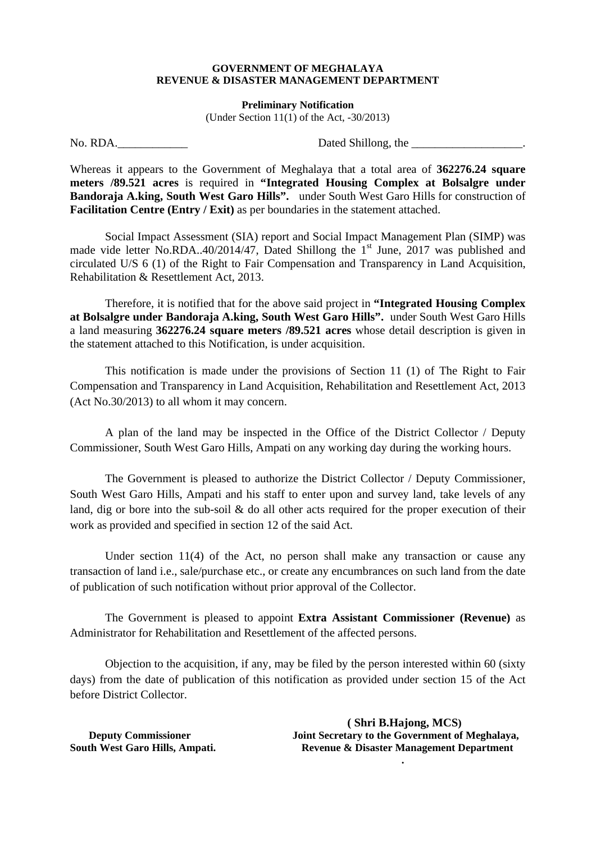## **GOVERNMENT OF MEGHALAYA REVENUE & DISASTER MANAGEMENT DEPARTMENT**

**Preliminary Notification** 

(Under Section  $11(1)$  of the Act,  $-30/2013$ )

No. RDA.\_\_\_\_\_\_\_\_\_\_\_\_ Dated Shillong, the \_\_\_\_\_\_\_\_\_\_\_\_\_\_\_\_\_\_\_.

Whereas it appears to the Government of Meghalaya that a total area of **362276.24 square meters /89.521 acres** is required in **"Integrated Housing Complex at Bolsalgre under Bandoraja A.king, South West Garo Hills".** under South West Garo Hills for construction of **Facilitation Centre (Entry / Exit)** as per boundaries in the statement attached.

 Social Impact Assessment (SIA) report and Social Impact Management Plan (SIMP) was made vide letter No.RDA..40/2014/47, Dated Shillong the  $1<sup>st</sup>$  June, 2017 was published and circulated U/S 6 (1) of the Right to Fair Compensation and Transparency in Land Acquisition, Rehabilitation & Resettlement Act, 2013.

 Therefore, it is notified that for the above said project in **"Integrated Housing Complex at Bolsalgre under Bandoraja A.king, South West Garo Hills".** under South West Garo Hills a land measuring **362276.24 square meters /89.521 acres** whose detail description is given in the statement attached to this Notification, is under acquisition.

 This notification is made under the provisions of Section 11 (1) of The Right to Fair Compensation and Transparency in Land Acquisition, Rehabilitation and Resettlement Act, 2013 (Act No.30/2013) to all whom it may concern.

 A plan of the land may be inspected in the Office of the District Collector / Deputy Commissioner, South West Garo Hills, Ampati on any working day during the working hours.

 The Government is pleased to authorize the District Collector / Deputy Commissioner, South West Garo Hills, Ampati and his staff to enter upon and survey land, take levels of any land, dig or bore into the sub-soil & do all other acts required for the proper execution of their work as provided and specified in section 12 of the said Act.

 Under section 11(4) of the Act, no person shall make any transaction or cause any transaction of land i.e., sale/purchase etc., or create any encumbrances on such land from the date of publication of such notification without prior approval of the Collector.

 The Government is pleased to appoint **Extra Assistant Commissioner (Revenue)** as Administrator for Rehabilitation and Resettlement of the affected persons.

 Objection to the acquisition, if any, may be filed by the person interested within 60 (sixty days) from the date of publication of this notification as provided under section 15 of the Act before District Collector.

 **( Shri B.Hajong, MCS) Deputy Commissioner** Joint Secretary to the Government of Meghalaya, **South West Garo Hills, Ampati. Revenue & Disaster Management Department .**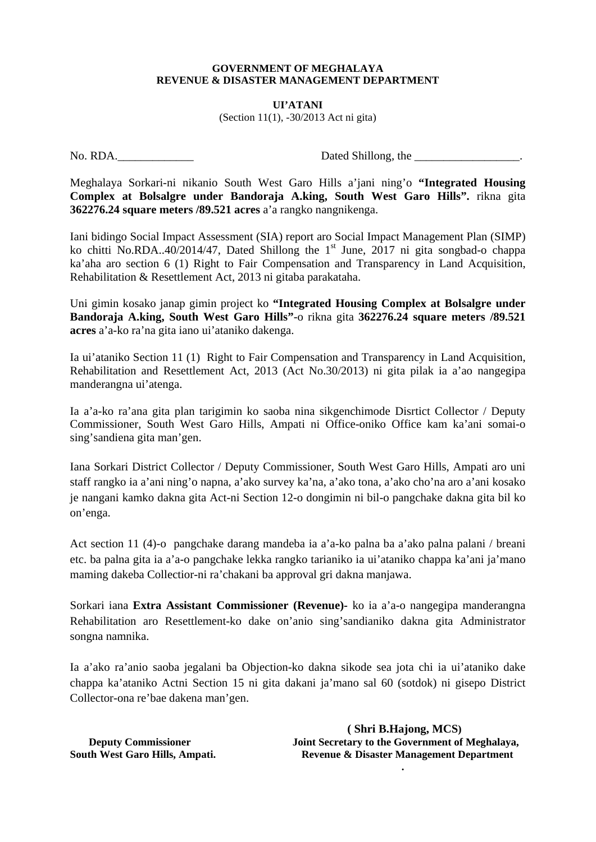## **GOVERNMENT OF MEGHALAYA REVENUE & DISASTER MANAGEMENT DEPARTMENT**

## **UI'ATANI**  (Section 11(1), -30/2013 Act ni gita)

No. RDA.  $\Box$  Dated Shillong, the  $\Box$ 

Meghalaya Sorkari-ni nikanio South West Garo Hills a'jani ning'o **"Integrated Housing Complex at Bolsalgre under Bandoraja A.king, South West Garo Hills".** rikna gita **362276.24 square meters /89.521 acres** a'a rangko nangnikenga.

Iani bidingo Social Impact Assessment (SIA) report aro Social Impact Management Plan (SIMP) ko chitti No.RDA..40/2014/47, Dated Shillong the 1<sup>st</sup> June, 2017 ni gita songbad-o chappa ka'aha aro section 6 (1) Right to Fair Compensation and Transparency in Land Acquisition, Rehabilitation & Resettlement Act, 2013 ni gitaba parakataha.

Uni gimin kosako janap gimin project ko **"Integrated Housing Complex at Bolsalgre under Bandoraja A.king, South West Garo Hills"**-o rikna gita **362276.24 square meters /89.521 acres** a'a-ko ra'na gita iano ui'ataniko dakenga.

Ia ui'ataniko Section 11 (1) Right to Fair Compensation and Transparency in Land Acquisition, Rehabilitation and Resettlement Act, 2013 (Act No.30/2013) ni gita pilak ia a'ao nangegipa manderangna ui'atenga.

Ia a'a-ko ra'ana gita plan tarigimin ko saoba nina sikgenchimode Disrtict Collector / Deputy Commissioner, South West Garo Hills, Ampati ni Office-oniko Office kam ka'ani somai-o sing'sandiena gita man'gen.

Iana Sorkari District Collector / Deputy Commissioner, South West Garo Hills, Ampati aro uni staff rangko ia a'ani ning'o napna, a'ako survey ka'na, a'ako tona, a'ako cho'na aro a'ani kosako je nangani kamko dakna gita Act-ni Section 12-o dongimin ni bil-o pangchake dakna gita bil ko on'enga.

Act section 11 (4)-o pangchake darang mandeba ia a'a-ko palna ba a'ako palna palani / breani etc. ba palna gita ia a'a-o pangchake lekka rangko tarianiko ia ui'ataniko chappa ka'ani ja'mano maming dakeba Collectior-ni ra'chakani ba approval gri dakna manjawa.

Sorkari iana **Extra Assistant Commissioner (Revenue)-** ko ia a'a-o nangegipa manderangna Rehabilitation aro Resettlement-ko dake on'anio sing'sandianiko dakna gita Administrator songna namnika.

Ia a'ako ra'anio saoba jegalani ba Objection-ko dakna sikode sea jota chi ia ui'ataniko dake chappa ka'ataniko Actni Section 15 ni gita dakani ja'mano sal 60 (sotdok) ni gisepo District Collector-ona re'bae dakena man'gen.

 **( Shri B.Hajong, MCS) Deputy Commissioner** Joint Secretary to the Government of Meghalaya, **South West Garo Hills, Ampati. Revenue & Disaster Management Department** 

**.**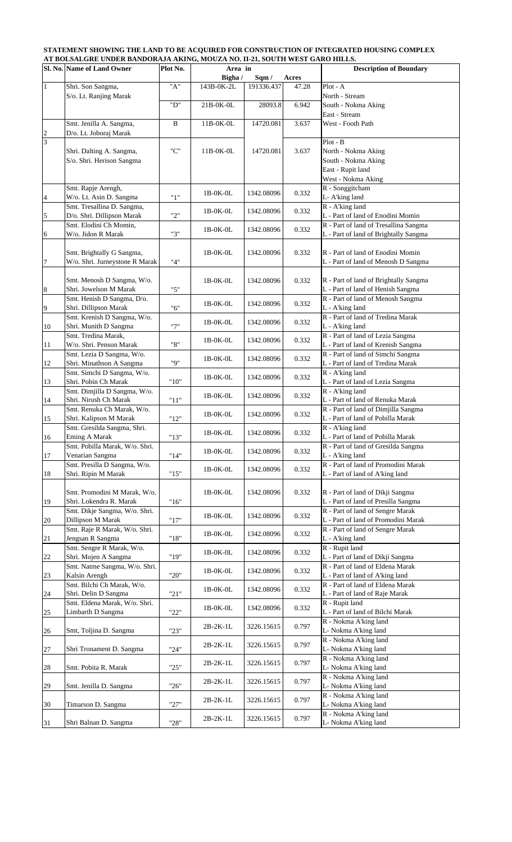## **STATEMENT SHOWING THE LAND TO BE ACQUIRED FOR CONSTRUCTION OF INTEGRATED HOUSING COMPLEX AT BOLSALGRE UNDER BANDORAJA AKING, MOUZA NO. II-21, SOUTH WEST GARO HILLS.**

|                | Sl. No. Name of Land Owner                                  | Plot No. | <b>Mathematic Contract Exposure Which Since Index</b><br>Area in |            |       | <b>Description of Boundary</b>                                           |
|----------------|-------------------------------------------------------------|----------|------------------------------------------------------------------|------------|-------|--------------------------------------------------------------------------|
|                | Shri. Son Sangma,                                           | "A"      | Bigha /                                                          | Sqm/       | Acres | Plot - A                                                                 |
| $\mathbf{1}$   | S/o. Lt. Ranjing Marak                                      |          | 143B-0K-2L                                                       | 191336.437 | 47.28 | North - Stream                                                           |
|                |                                                             | "D"      | 21B-0K-0L                                                        | 28093.8    | 6.942 | South - Nokma Aking                                                      |
|                |                                                             |          |                                                                  |            |       | East - Stream                                                            |
|                | Smt. Jenilla A. Sangma,                                     | B        | 11B-0K-0L                                                        | 14720.081  | 3.637 | West - Footh Path                                                        |
| $\frac{2}{3}$  | D/o. Lt. Joboraj Marak                                      |          |                                                                  |            |       |                                                                          |
|                |                                                             |          |                                                                  |            |       | Plot - B                                                                 |
|                | Shri. Dalting A. Sangma,                                    | "C"      | $11B-0K-0L$                                                      | 14720.081  | 3.637 | North - Nokma Aking                                                      |
|                | S/o. Shri. Herison Sangma                                   |          |                                                                  |            |       | South - Nokma Aking<br>East - Rupit land                                 |
|                |                                                             |          |                                                                  |            |       | West - Nokma Aking                                                       |
|                | Smt. Rapje Arengh,                                          |          |                                                                  |            |       | R - Songgitcham                                                          |
| $\overline{4}$ | W/o. Lt. Asin D. Sangma                                     | "1"      | $1B-0K-0L$                                                       | 1342.08096 | 0.332 | L- A'king land                                                           |
|                | Smt. Tresallina D. Sangma,                                  |          |                                                                  |            |       | R - A'king land                                                          |
| $\overline{5}$ | D/o. Shri. Dillipson Marak                                  | "2"      | $1B-0K-0L$                                                       | 1342.08096 | 0.332 | L - Part of land of Enodini Momin                                        |
|                | Smt. Elodini Ch Momin,                                      |          | 1B-0K-0L                                                         | 1342.08096 | 0.332 | R - Part of land of Tresallina Sangma                                    |
| 6              | W/o. Jidon R Marak                                          | "3"      |                                                                  |            |       | L - Part of land of Brightally Sangma                                    |
|                |                                                             |          |                                                                  |            |       |                                                                          |
| 7              | Smt. Brightally G Sangma,<br>W/o. Shri. Jurneystone R Marak | "4"      | $1B-0K-0L$                                                       | 1342.08096 | 0.332 | R - Part of land of Enodini Momin<br>L - Part of land of Menosh D Sangma |
|                |                                                             |          |                                                                  |            |       |                                                                          |
|                | Smt. Menosh D Sangma, W/o.                                  |          | $1B-0K-0L$                                                       | 1342.08096 | 0.332 | R - Part of land of Brightally Sangma                                    |
| 8              | Shri. Jowelson M Marak                                      | "5"      |                                                                  |            |       | L - Part of land of Henish Sangma                                        |
|                | Smt. Henish D Sangma, D/o.                                  |          |                                                                  |            |       | R - Part of land of Menosh Sangma                                        |
| 9              | Shri. Dillipson Marak                                       | "6"      | $1B-0K-0L$                                                       | 1342.08096 | 0.332 | L - A'king land                                                          |
|                | Smt. Krenish D Sangma, W/o.                                 |          | 1B-0K-0L                                                         | 1342.08096 | 0.332 | R - Part of land of Tredina Marak                                        |
| 10             | Shri. Munith D Sangma                                       | "7"      |                                                                  |            |       | L - A'king land                                                          |
|                | Smt. Tredina Marak,                                         |          | $1B-0K-0L$                                                       | 1342.08096 | 0.332 | R - Part of land of Lezia Sangma                                         |
| 11             | W/o. Shri. Penson Marak<br>Smt. Lezia D Sangma, W/o.        | "8"      |                                                                  |            |       | L - Part of land of Krenish Sangma<br>R - Part of land of Simchi Sangma  |
| 12             | Shri. Minathson A Sangma                                    | "9"      | $1B-0K-0L$                                                       | 1342.08096 | 0.332 | L - Part of land of Tredina Marak                                        |
|                | Smt. Simchi D Sangma, W/o.                                  |          |                                                                  |            |       | $R - A'$ king land                                                       |
| 13             | Shri. Pobin Ch Marak                                        | "10"     | 1B-0K-0L                                                         | 1342.08096 | 0.332 | L - Part of land of Lezia Sangma                                         |
|                | Smt. Dimjilla D Sangma, W/o.                                |          | $1B-0K-0L$                                                       | 1342.08096 | 0.332 | R - A'king land                                                          |
| 14             | Shri. Nirush Ch Marak                                       | "11"     |                                                                  |            |       | L - Part of land of Renuka Marak                                         |
|                | Smt. Renuka Ch Marak, W/o.                                  |          | $1B-0K-0L$                                                       | 1342.08096 | 0.332 | R - Part of land of Dimjilla Sangma                                      |
| 15             | Shri. Kalipson M Marak                                      | "12"     |                                                                  |            |       | L - Part of land of Pobilla Marak                                        |
|                | Smt. Gresilda Sangma, Shri.<br>Eming A Marak                | $"13"$   | $1B-0K-0L$                                                       | 1342.08096 | 0.332 | R - A'king land<br>L - Part of land of Pobilla Marak                     |
| 16             | Smt. Pobilla Marak, W/o. Shri.                              |          |                                                                  |            |       | R - Part of land of Gresilda Sangma                                      |
| 17             | Venarian Sangma                                             | "14"     | 1B-0K-0L                                                         | 1342.08096 | 0.332 | L - A'king land                                                          |
|                | Smt. Presilla D Sangma, W/o.                                |          |                                                                  |            |       | R - Part of land of Promodini Marak                                      |
| 18             | Shri. Ripin M Marak                                         | "15"     | 1B-0K-0L                                                         | 1342.08096 | 0.332 | L - Part of land of A'king land                                          |
|                |                                                             |          |                                                                  |            |       |                                                                          |
|                | Smt. Promodini M Marak, W/o.                                |          | 1B-0K-0L                                                         | 1342.08096 | 0.332 | R - Part of land of Dikji Sangma                                         |
| 19             | Shri. Lokendra R. Marak<br>Smt. Dikje Sangma, W/o. Shri.    | "16"     |                                                                  |            |       | L - Part of land of Presilla Sangma<br>R - Part of land of Sengre Marak  |
| 20             | Dillipson M Marak                                           | "17"     | 1B-0K-0L                                                         | 1342.08096 | 0.332 | L - Part of land of Promodini Marak                                      |
|                | Smt. Raje R Marak, W/o. Shri.                               |          |                                                                  |            |       | R - Part of land of Sengre Marak                                         |
| 21             | Jengsan R Sangma                                            | $"18"$   | 1B-0K-0L                                                         | 1342.08096 | 0.332 | L - A'king land                                                          |
|                | Smt. Sengre R Marak, W/o.                                   |          | 1B-0K-0L                                                         | 1342.08096 | 0.332 | R - Rupit land                                                           |
| 22             | Shri. Mojen A Sangma                                        | "19"     |                                                                  |            |       | L - Part of land of Dikji Sangma                                         |
|                | Smt. Natme Sangma, W/o. Shri.                               |          | 1B-0K-0L                                                         | 1342.08096 | 0.332 | R - Part of land of Eldena Marak                                         |
| 23             | Kalsin Arengh<br>Smt. Bilchi Ch Marak, W/o.                 | "20"     |                                                                  |            |       | L - Part of land of A'king land<br>R - Part of land of Eldena Marak      |
| 24             | Shri. Delin D Sangma                                        | "21"     | 1B-0K-0L                                                         | 1342.08096 | 0.332 | L - Part of land of Raje Marak                                           |
|                | Smt. Eldena Marak, W/o. Shri.                               |          |                                                                  |            |       | R - Rupit land                                                           |
| 25             | Limbarth D Sangma                                           | "22"     | 1B-0K-0L                                                         | 1342.08096 | 0.332 | L - Part of land of Bilchi Marak                                         |
|                |                                                             |          |                                                                  |            |       | R - Nokma A'king land                                                    |
| 26             | Smt, Toljina D. Sangma                                      | "23"     | $2B-2K-1L$                                                       | 3226.15615 | 0.797 | L- Nokma A'king land                                                     |
|                |                                                             |          | $2B-2K-1L$                                                       | 3226.15615 | 0.797 | R - Nokma A'king land                                                    |
| 27             | Shri Tronament D. Sangma                                    | "24"     |                                                                  |            |       | L- Nokma A'king land                                                     |
|                |                                                             |          | 2B-2K-1L                                                         | 3226.15615 | 0.797 | R - Nokma A'king land                                                    |
| 28             | Smt. Pobita R. Marak                                        | "25"     |                                                                  |            |       | L- Nokma A'king land<br>R - Nokma A'king land                            |
| 29             | Smt. Jenilla D. Sangma                                      | "26"     | $2B-2K-1L$                                                       | 3226.15615 | 0.797 | L- Nokma A'king land                                                     |
|                |                                                             |          |                                                                  |            |       | R - Nokma A'king land                                                    |
| 30             | Timarson D. Sangma                                          | "27"     | $2B-2K-1L$                                                       | 3226.15615 | 0.797 | L- Nokma A'king land                                                     |
|                |                                                             |          | $2B-2K-1L$                                                       | 3226.15615 | 0.797 | R - Nokma A'king land                                                    |
| 31             | Shri Balnan D. Sangma                                       | "28"     |                                                                  |            |       | L- Nokma A'king land                                                     |